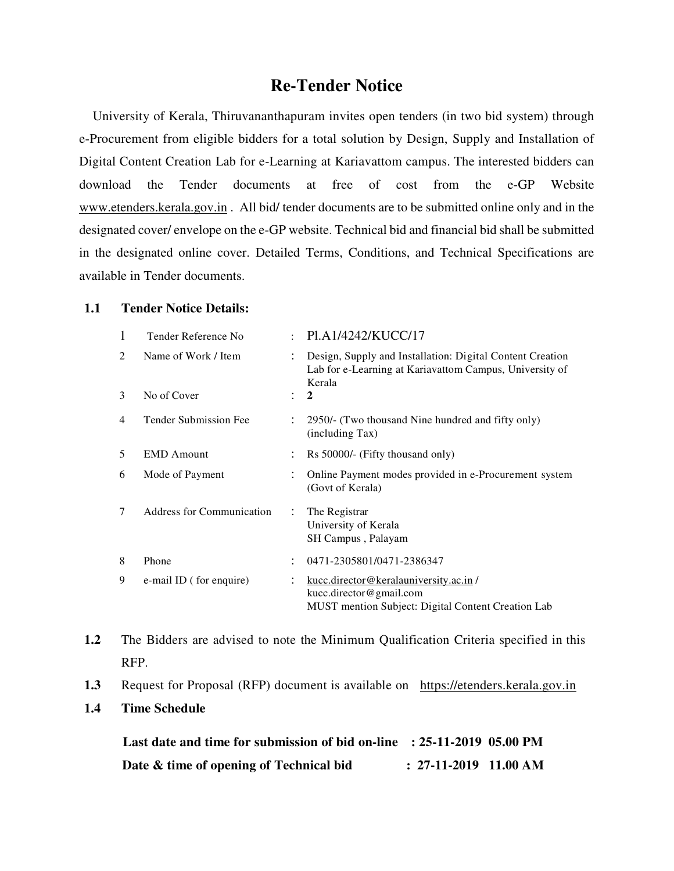## **Re-Tender Notice**

 University of Kerala, Thiruvananthapuram invites open tenders (in two bid system) through e-Procurement from eligible bidders for a total solution by Design, Supply and Installation of Digital Content Creation Lab for e-Learning at Kariavattom campus. The interested bidders can download the Tender documents at free of cost from the e-GP Website www.etenders.kerala.gov.in . All bid/ tender documents are to be submitted online only and in the designated cover/ envelope on the e-GP website. Technical bid and financial bid shall be submitted in the designated online cover. Detailed Terms, Conditions, and Technical Specifications are available in Tender documents.

#### **1.1 Tender Notice Details:**

| 1 | Tender Reference No              |                      | : $P1.A1/4242/KUCC/17$                                                                                                         |
|---|----------------------------------|----------------------|--------------------------------------------------------------------------------------------------------------------------------|
| 2 | Name of Work / Item              |                      | Design, Supply and Installation: Digital Content Creation<br>Lab for e-Learning at Kariavattom Campus, University of<br>Kerala |
| 3 | No of Cover                      |                      | $\mathbf{2}$                                                                                                                   |
| 4 | <b>Tender Submission Fee</b>     |                      | 2950/- (Two thousand Nine hundred and fifty only)<br>(including Tax)                                                           |
| 5 | <b>EMD</b> Amount                |                      | Rs 50000/- (Fifty thousand only)                                                                                               |
| 6 | Mode of Payment                  |                      | Online Payment modes provided in e-Procurement system<br>(Govt of Kerala)                                                      |
| 7 | <b>Address for Communication</b> | $\ddot{\phantom{0}}$ | The Registrar<br>University of Kerala<br>SH Campus, Palayam                                                                    |
| 8 | Phone                            |                      | 0471-2305801/0471-2386347                                                                                                      |
| 9 | e-mail ID (for enquire)          |                      | kucc.director@keralauniversity.ac.in/<br>kucc.director@gmail.com<br><b>MUST</b> mention Subject: Digital Content Creation Lab  |

**1.2** The Bidders are advised to note the Minimum Qualification Criteria specified in this RFP.

- **1.3** Request for Proposal (RFP) document is available on https://etenders.kerala.gov.in
- **1.4 Time Schedule**

| Last date and time for submission of bid on-line : 25-11-2019 05.00 PM |                         |  |
|------------------------------------------------------------------------|-------------------------|--|
| Date & time of opening of Technical bid                                | $: 27-11-2019$ 11.00 AM |  |